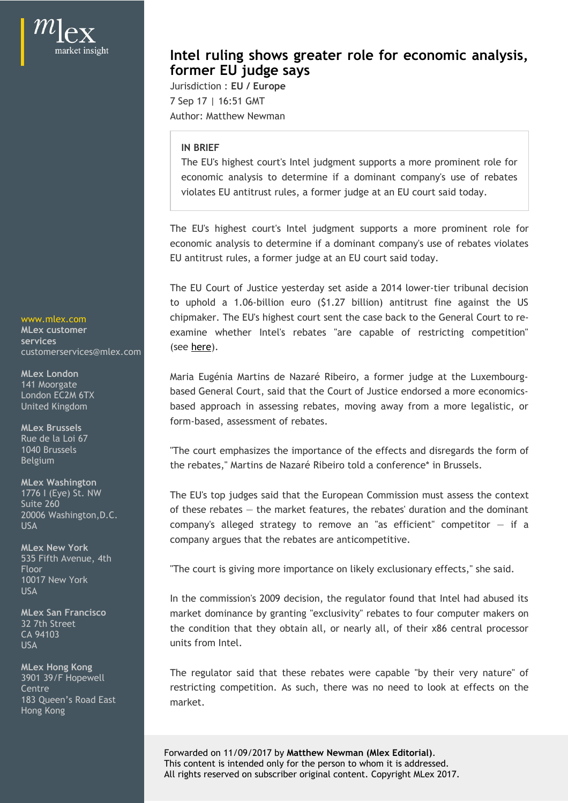customerservices@mlex.com

**MLex Brussels** Rue de la Loi 67

**MLex Washington**

**MLex New York** 535 Fifth Avenue, 4th 10017 New York

3901 39/F Hopewell 183 Queen's Road East Hong Kong

## **Intel ruling shows greater role for economic analysis, former EU judge says**

Jurisdiction : **EU / Europe** 7 Sep 17 | 16:51 GMT Author: Matthew Newman

## **IN BRIEF**

The EU's highest court's Intel judgment supports a more prominent role for **tel ruling shows greater role for economic analysis,**<br> **economic EU / Europe**<br>
Figure if a dominant company's use of rebates<br>
IN BRIEF<br>
The EU's highest court's Intel judgment supports a more prominent role for<br>
economic violates EU antitrust rules, a former judge at an EU court said today.

**Intel ruling shows greater role for economic analysis,**<br> **former EU judge says**<br>
Jurisdiction : EU / Europe<br>
7 Sep 17 | 16:51 GMT<br>
AUthor: Matthew Newman<br>
IN BRIEF<br>
The EU's highest court's Intel judgment supports a more economic analysis to determine if a dominant company's use of rebates violates EU antitrust rules, a former judge at an EU court said today.

The EU Court of Justice yesterday set aside a 2014 lower-tier tribunal decision **Intelruling shows greater role for economic analysis,**<br>former **EU** judge says<br>The 17 sep 17 | 16:51 GMT<br>Author: Matthew Newman<br>IN BRIEF<br>IN BRIEF The EUS highest court's lined judgment supports a more prominent role for<br>e chipmaker. The EU's highest court sent the case back to the General Court to re-www.mlex.com **Contributed From EV Subsets Speedier Tole for economic analysis,**<br> **Contributed:** 1.1 16:13 GMT<br>
Durisdiction : EU / Europe<br>
Author: Matthew Newman<br>
IN BRIEF<br>
The EU's highest court's litel judgment supports a more promin (see here). **Intel ruling shows greater role for economic analysis,**<br> **former EU judge says**<br>
Jurisdiction : EU / Europe<br>
Jurisdiction : EU / Europe<br>
Althor: Matthew Newman<br>
IN BRIEF<br>
The EU's highest court's litel judgment supports a **former EU judge says**<br>
Jurisdiction : EU Z Europe<br>
Jurisdiction : EU Z Europe<br>
Author: Matthew Newman<br>
IN BRIEF<br>
The EU's highest court's intel judgment supports a more prominent role for<br>
economic analysis to determine i violates EU antitrust rules, a former judge at an EU court said today.<br>The EU's highest court's Intel judgment supports a more prominent role for<br>economic analysis to determine if a dominant company's use of rebates violat MLex customer **Example 20 State 20 Example 20 State 20 State** 20 and 20 MLex customer competition" **services**

141 Moorgate<br>London FC2M 6TX **based General Court, said that the Court of Justice endorsed a more economics**form-based, assessment of rebates. MLex London Maria Eugénia Martins de Nazaré Ribeiro, a former judge at the Luxembourg-London EC2M 6TX **Exercise Compared Compared Country Salu** that the Court of Justice endorsed a more economics-United Kingdom **State Controller State Controller State Controller** Director based approach in assessing rebates, moving away from a more legalistic, or

"The court emphasizes the importance of the effects and disregards the form of 1040 Brussels the rebates," Martins de Nazaré Ribeiro told a conference\* in Brussels. Belgium

The EU's top judges said that the European Commission must assess the context 1776 I (Eye) St. NW Suite 260<br>20006 Washinaton B.C. **Suite 260** of these rebates — the market features, the rebates' duration and the dominant company argues that the rebates are anticompetitive. examine whether intels rebates are capable of restricting competition<br>(see <u>here</u>).<br>Maria Eugènia Martins de Nazaré Ribeiro, a former judge at the Luxembourg-<br>based General Court, said that the Court of Justice endorsed a (see <u>nere)</u>.<br>Maria Eugénia Martins de Nazaré Ribeiro, a former judge at the Luxembourg-<br>based General Court, sidl that the Court of Justice endorsed a more economics-<br>based approach in assessing rebates, moving away from 20006 Washington,D.C. USA USA USA Company's alleged strategy to remove an "as efficient" competitor – if a

"The court is giving more importance on likely exclusionary effects," she said. Floor

In the commission's 2009 decision, the regulator found that Intel had abused its USA market dominance by granting "exclusivity" rebates to four computer makers on **MLex San Francisco** the condition that they obtain all, or nearly all, of their x86 central processor 32 7th Street units from Intel. CA 94103 CA PHOTOGRAPH CONDITION THAT THEY ODDEN ANY OF HEARY ART, OF THEM AND CENTRAL PROCESSOR USA Example 1988 Contract the Units Trom Intel.

market. MLex Hong Kong<br>2004-2015 Useswell **The regulator said that these rebates** were capable "by their very nature" of Centre **Centre Centre Centre Centre 1** Centre **Centre Centre Centre Centre Centre Centre Centre Centre Centre Centre Centre Centre Centre Centre Centre Centre Centre Centre Centre** 

> Forwarded on 11/09/2017 by **Matthew Newman (Mlex Editorial)**. This content is intended only for the person to whom it is addressed. All rights reserved on subscriber original content. Copyright MLex 2017.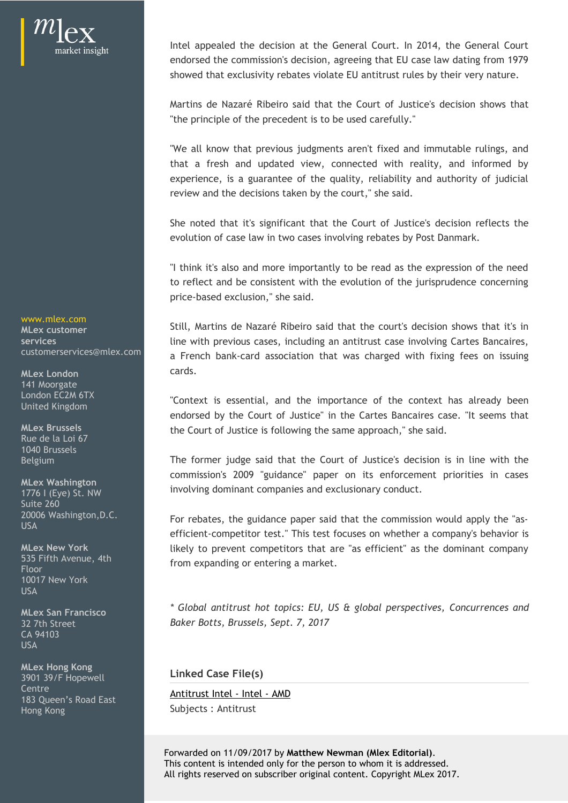

Intel appealed the decision at the General Court. In 2014, the General Court<br>endorsed the commission's decision, agreeing that EU case law dating from 1979<br>showed that exclusivity rebates violate EU antitrust rules by thei endorsed the commission's decision, agreeing that EU case law dating from 1979 showed that exclusivity rebates violate EU antitrust rules by their very nature.

"the principle of the precedent is to be used carefully."

Intel appealed the decision at the General Court. In 2014, the General Court<br>endorsed the commission's decision, agreeing that EU case law dating from 1979<br>showed that exclusivity rebates violate EU antitrust rules by thei "We all know that previous judgments aren't fixed and immutable rulings, and Intel appealed the decision at the General Court. In 2014, the General Court<br>endorsed the commission's decision, agreeing that EU case law dating from 1979<br>showed that exclusivity rebates violate EU antitrust rules by thei Intel appealed the decision at the General Court. In 2014, the General Court<br>endorsed the commission's decision, agreeing that EU case law dating from 1979<br>showed that exclusivity rebates violate EU antitrust rules by thei review and the decisions taken by the court," she said. Intel appealed the decision at the General Court. In 2014, the General Court<br>endorsed the commission's decision, agreeing that EU case law dating from 1979<br>showed that exclusivity rebates violate EU antitrust rules by thei

evolution of case law in two cases involving rebates by Post Danmark.

"I think it's also and more importantly to be read as the expression of the need to reflect and be consistent with the evolution of the jurisprudence concerning price-based exclusion," she said.

www.mlex.com<br>MLex.customer Still, Martins de Nazaré Ribeiro said that the court's decision shows that it's in line with previous cases, including an antitrust case involving Cartes Bancaires, **services** Intel appealed the dectsion at the General Court. In 2014, the General Court<br>enchorsed the commission's decision, agreeing that EU case law dating from 1979<br>showed that exclusivity rebates violate EU antitrust rules by the cards. enoorsed the commissions decision, agreenig that Lucase law dating from 1979<br>showed that exclusivity rebates violate EU antitrust rules by their very nature.<br>Martins de Nazaré Ribeiro said that the Court of Justices decisi the principle of the precedent is to be used carefully.<br>We all know that previous judgments aren't fixed and mimutable rulings, and<br>that a fresh and updated view, connected with reality, raid untrority of judicial<br>review a TWe all know that previous judgments aren't fixed and immutable rulings, and<br>that a fresh and updated view, connected with reality, and informed by<br>experience, is a guarantee of the quality, relability and authority of jud **MLex customer Multiple in the second of the second state in the country decision show** customerservices@mlex.com a French bank-card association that was charged with fixing fees on issuing **MLex London**

endorsed by the Court of Justice" in the Cartes Bancaires case. "It seems that the Court of Justice is following the same approach," she said. **MLex Brussels** London EC2M 6TX **Example 2018 Contract is essential and the importance of the context bas already been** United Kingdom **Exercise Concerns** Concerns and the importance of the concern has already been

involving dominant companies and exclusionary conduct. **MLex Washington** Belgium Belgium and the former judge said that the Court of Justice's decision is in line with the 1776 I (Eye) St. NW

For rebates, the guidance paper said that the commission would apply the "as-20006 Washington,D.C. efficient-competitor test." This test focuses on whether a company's behavior is MLex New York **Example 20 and Strutus Likely to prevent competitors that are "as efficient" as the dominant company** 535 Fifth Avenue, 4th **comes from expanding or entering a market**. USA **USA USA Strategies** in the senator paper and that the commission weak apply the distribution Floor **Floor** Floor Company of Calculating a matrice.

*\* Global antitrust hot topics: EU, US & global perspectives, Concurrences and* **MLex San Francisco** *Baker Botts, Brussels, Sept. 7, 2017* 32 7th Street

**Linked Case File(s)**

Subjects : Antitrust Hong Kong

Forwarded on 11/09/2017 by **Matthew Newman (Mlex Editorial)**. This content is intended only for the person to whom it is addressed. All rights reserved on subscriber original content. Copyright MLex 2017.

141 Moorgate

Rue de la Loi 67 1040 Brussels

Suite 260

10017 New York USA and the contract of the contract of the contract of the contract of the contract of the contract of the contract of the contract of the contract of the contract of the contract of the contract of the contract of the co

CA 94103 USA and the contract of the contract of the contract of the contract of the contract of the contract of the contract of the contract of the contract of the contract of the contract of the contract of the contract of the co

Centre<br>183 Queen's Boad Fast **[Antitrust Intel - Intel - AMD](http://www.mlex.com/EU/Content.aspx?ID=23098) MLex Hong Kong** 3901 39/F Hopewell 183 Queen's Road East